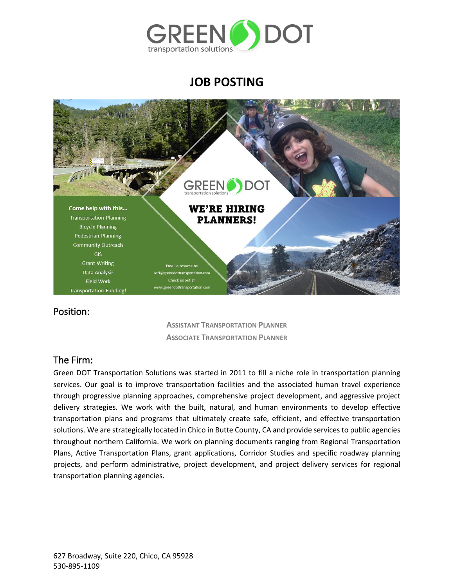

# **JOB POSTING**



### Position:

**ASSISTANT TRANSPORTATION PLANNER ASSOCIATE TRANSPORTATION PLANNER**

## The Firm:

Green DOT Transportation Solutions was started in 2011 to fill a niche role in transportation planning services. Our goal is to improve transportation facilities and the associated human travel experience through progressive planning approaches, comprehensive project development, and aggressive project delivery strategies. We work with the built, natural, and human environments to develop effective transportation plans and programs that ultimately create safe, efficient, and effective transportation solutions. We are strategically located in Chico in Butte County, CA and provide services to public agencies throughout northern California. We work on planning documents ranging from Regional Transportation Plans, Active Transportation Plans, grant applications, Corridor Studies and specific roadway planning projects, and perform administrative, project development, and project delivery services for regional transportation planning agencies.